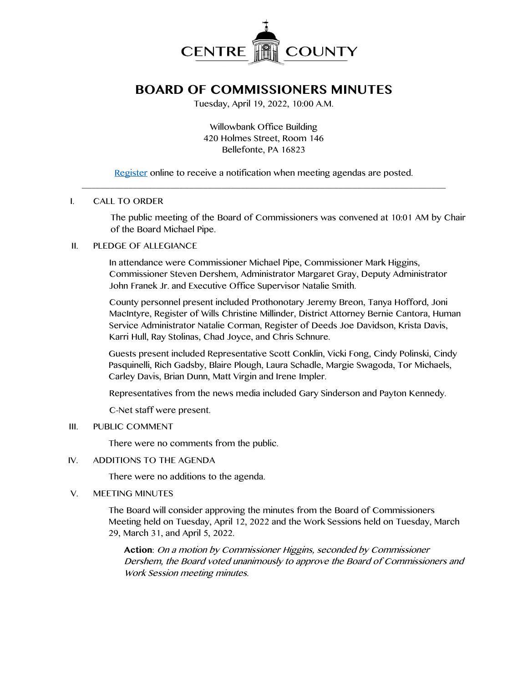

# **BOARD OF COMMISSIONERS MINUTES**

Tuesday, April 19, 2022, 10:00 A.M.

Willowbank Office Building 420 Holmes Street, Room 146 Bellefonte, PA 16823

[Register](http://www.centrecountypa.gov/AgendaCenter) online to receive a notification when meeting agendas are posted. \_\_\_\_\_\_\_\_\_\_\_\_\_\_\_\_\_\_\_\_\_\_\_\_\_\_\_\_\_\_\_\_\_\_\_\_\_\_\_\_\_\_\_\_\_\_\_\_\_\_\_\_\_\_\_\_\_\_\_\_\_\_\_\_\_\_\_\_\_\_\_\_\_\_\_\_\_\_

## I. CALL TO ORDER

The public meeting of the Board of Commissioners was convened at 10:01 AM by Chair of the Board Michael Pipe.

## II. PLEDGE OF ALLEGIANCE

In attendance were Commissioner Michael Pipe, Commissioner Mark Higgins, Commissioner Steven Dershem, Administrator Margaret Gray, Deputy Administrator John Franek Jr. and Executive Office Supervisor Natalie Smith.

County personnel present included Prothonotary Jeremy Breon, Tanya Hofford, Joni MacIntyre, Register of Wills Christine Millinder, District Attorney Bernie Cantora, Human Service Administrator Natalie Corman, Register of Deeds Joe Davidson, Krista Davis, Karri Hull, Ray Stolinas, Chad Joyce, and Chris Schnure.

Guests present included Representative Scott Conklin, Vicki Fong, Cindy Polinski, Cindy Pasquinelli, Rich Gadsby, Blaire Plough, Laura Schadle, Margie Swagoda, Tor Michaels, Carley Davis, Brian Dunn, Matt Virgin and Irene Impler.

Representatives from the news media included Gary Sinderson and Payton Kennedy.

C-Net staff were present.

# III. PUBLIC COMMENT

There were no comments from the public.

#### IV. ADDITIONS TO THE AGENDA

There were no additions to the agenda.

V. MEETING MINUTES

The Board will consider approving the minutes from the Board of Commissioners Meeting held on Tuesday, April 12, 2022 and the Work Sessions held on Tuesday, March 29, March 31, and April 5, 2022.

**Action**: On a motion by Commissioner Higgins, seconded by Commissioner Dershem, the Board voted unanimously to approve the Board of Commissioners and Work Session meeting minutes.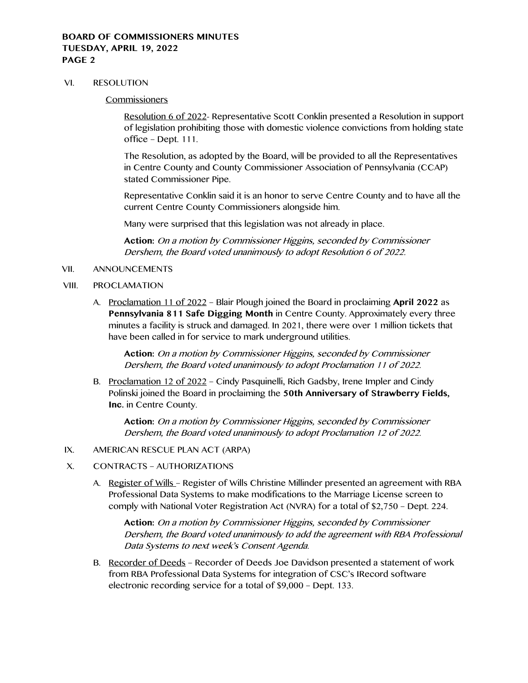## **BOARD OF COMMISSIONERS MINUTES TUESDAY, APRIL 19, 2022 PAGE 2**

#### VI. RESOLUTION

#### **Commissioners**

Resolution 6 of 2022- Representative Scott Conklin presented a Resolution in support of legislation prohibiting those with domestic violence convictions from holding state office – Dept. 111.

The Resolution, as adopted by the Board, will be provided to all the Representatives in Centre County and County Commissioner Association of Pennsylvania (CCAP) stated Commissioner Pipe.

Representative Conklin said it is an honor to serve Centre County and to have all the current Centre County Commissioners alongside him.

Many were surprised that this legislation was not already in place.

**Action:** On a motion by Commissioner Higgins, seconded by Commissioner Dershem, the Board voted unanimously to adopt Resolution 6 of 2022.

#### VII. ANNOUNCEMENTS

#### VIII. PROCLAMATION

A. Proclamation 11 of 2022 – Blair Plough joined the Board in proclaiming **April 2022** as **Pennsylvania 811 Safe Digging Month** in Centre County. Approximately every three minutes a facility is struck and damaged. In 2021, there were over 1 million tickets that have been called in for service to mark underground utilities.

**Action:** On a motion by Commissioner Higgins, seconded by Commissioner Dershem, the Board voted unanimously to adopt Proclamation 11 of 2022.

B. Proclamation 12 of 2022 – Cindy Pasquinelli, Rich Gadsby, Irene Impler and Cindy Polinski joined the Board in proclaiming the **50th Anniversary of Strawberry Fields, Inc.** in Centre County.

**Action:** On a motion by Commissioner Higgins, seconded by Commissioner Dershem, the Board voted unanimously to adopt Proclamation 12 of 2022.

- IX. AMERICAN RESCUE PLAN ACT (ARPA)
- X. CONTRACTS AUTHORIZATIONS
	- A. Register of Wills Register of Wills Christine Millinder presented an agreement with RBA Professional Data Systems to make modifications to the Marriage License screen to comply with National Voter Registration Act (NVRA) for a total of \$2,750 – Dept. 224.

**Action:** On a motion by Commissioner Higgins, seconded by Commissioner Dershem, the Board voted unanimously to add the agreement with RBA Professional Data Systems to next week's Consent Agenda.

B. Recorder of Deeds – Recorder of Deeds Joe Davidson presented a statement of work from RBA Professional Data Systems for integration of CSC's IRecord software electronic recording service for a total of \$9,000 – Dept. 133.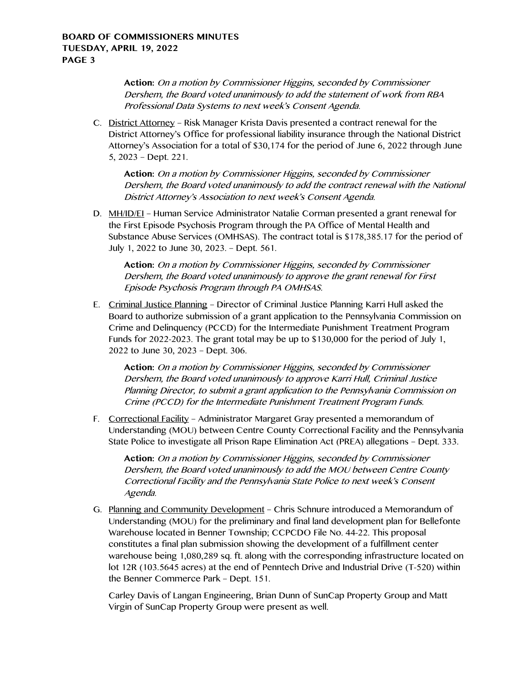**Action:** On a motion by Commissioner Higgins, seconded by Commissioner Dershem, the Board voted unanimously to add the statement of work from RBA Professional Data Systems to next week's Consent Agenda.

C. District Attorney – Risk Manager Krista Davis presented a contract renewal for the District Attorney's Office for professional liability insurance through the National District Attorney's Association for a total of \$30,174 for the period of June 6, 2022 through June 5, 2023 – Dept. 221.

**Action:** On a motion by Commissioner Higgins, seconded by Commissioner Dershem, the Board voted unanimously to add the contract renewal with the National District Attorney's Association to next week's Consent Agenda.

D. MH/ID/EI – Human Service Administrator Natalie Corman presented a grant renewal for the First Episode Psychosis Program through the PA Office of Mental Health and Substance Abuse Services (OMHSAS). The contract total is \$178,385.17 for the period of July 1, 2022 to June 30, 2023. – Dept. 561.

**Action:** On a motion by Commissioner Higgins, seconded by Commissioner Dershem, the Board voted unanimously to approve the grant renewal for First Episode Psychosis Program through PA OMHSAS.

E. Criminal Justice Planning – Director of Criminal Justice Planning Karri Hull asked the Board to authorize submission of a grant application to the Pennsylvania Commission on Crime and Delinquency (PCCD) for the Intermediate Punishment Treatment Program Funds for 2022-2023. The grant total may be up to \$130,000 for the period of July 1, 2022 to June 30, 2023 – Dept. 306.

**Action:** On a motion by Commissioner Higgins, seconded by Commissioner Dershem, the Board voted unanimously to approve Karri Hull, Criminal Justice Planning Director, to submit a grant application to the Pennsylvania Commission on Crime (PCCD) for the Intermediate Punishment Treatment Program Funds.

F. Correctional Facility – Administrator Margaret Gray presented a memorandum of Understanding (MOU) between Centre County Correctional Facility and the Pennsylvania State Police to investigate all Prison Rape Elimination Act (PREA) allegations – Dept. 333.

**Action:** On a motion by Commissioner Higgins, seconded by Commissioner Dershem, the Board voted unanimously to add the MOU between Centre County Correctional Facility and the Pennsylvania State Police to next week's Consent Agenda.

G. Planning and Community Development – Chris Schnure introduced a Memorandum of Understanding (MOU) for the preliminary and final land development plan for Bellefonte Warehouse located in Benner Township; CCPCDO File No. 44-22. This proposal constitutes a final plan submission showing the development of a fulfillment center warehouse being 1,080,289 sq. ft. along with the corresponding infrastructure located on lot 12R (103.5645 acres) at the end of Penntech Drive and Industrial Drive (T-520) within the Benner Commerce Park – Dept. 151.

Carley Davis of Langan Engineering, Brian Dunn of SunCap Property Group and Matt Virgin of SunCap Property Group were present as well.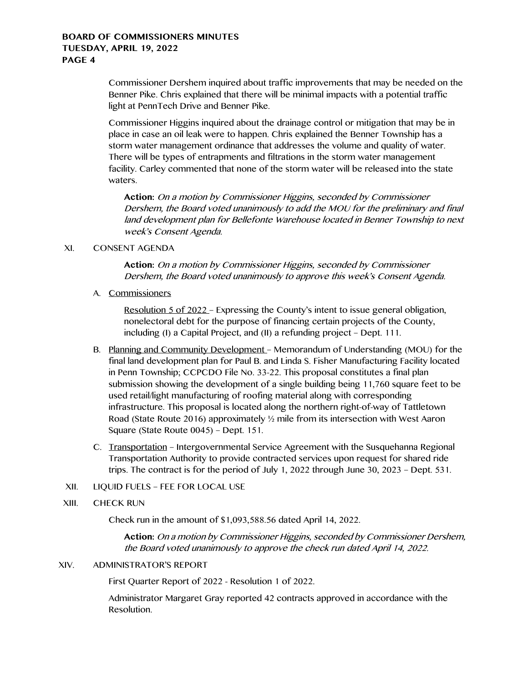# **BOARD OF COMMISSIONERS MINUTES TUESDAY, APRIL 19, 2022 PAGE 4**

Commissioner Dershem inquired about traffic improvements that may be needed on the Benner Pike. Chris explained that there will be minimal impacts with a potential traffic light at PennTech Drive and Benner Pike.

Commissioner Higgins inquired about the drainage control or mitigation that may be in place in case an oil leak were to happen. Chris explained the Benner Township has a storm water management ordinance that addresses the volume and quality of water. There will be types of entrapments and filtrations in the storm water management facility. Carley commented that none of the storm water will be released into the state waters.

**Action:** On a motion by Commissioner Higgins, seconded by Commissioner Dershem, the Board voted unanimously to add the MOU for the preliminary and final land development plan for Bellefonte Warehouse located in Benner Township to next week's Consent Agenda.

# XI. CONSENT AGENDA

**Action:** On a motion by Commissioner Higgins, seconded by Commissioner Dershem, the Board voted unanimously to approve this week's Consent Agenda.

A. Commissioners

Resolution 5 of 2022 – Expressing the County's intent to issue general obligation, nonelectoral debt for the purpose of financing certain projects of the County, including (I) a Capital Project, and (II) a refunding project – Dept. 111.

- B. Planning and Community Development Memorandum of Understanding (MOU) for the final land development plan for Paul B. and Linda S. Fisher Manufacturing Facility located in Penn Township; CCPCDO File No. 33-22. This proposal constitutes a final plan submission showing the development of a single building being 11,760 square feet to be used retail/light manufacturing of roofing material along with corresponding infrastructure. This proposal is located along the northern right-of-way of Tattletown Road (State Route 2016) approximately ½ mile from its intersection with West Aaron Square (State Route 0045) – Dept. 151.
- C. Transportation Intergovernmental Service Agreement with the Susquehanna Regional Transportation Authority to provide contracted services upon request for shared ride trips. The contract is for the period of July 1, 2022 through June 30, 2023 – Dept. 531.
- XII. LIQUID FUELS FEE FOR LOCAL USE
- XIII. CHECK RUN

Check run in the amount of \$1,093,588.56 dated April 14, 2022.

**Action:** On a motion by Commissioner Higgins, seconded by Commissioner Dershem, the Board voted unanimously to approve the check run dated April 14, 2022.

### XIV. ADMINISTRATOR'S REPORT

First Quarter Report of 2022 - Resolution 1 of 2022.

Administrator Margaret Gray reported 42 contracts approved in accordance with the Resolution.